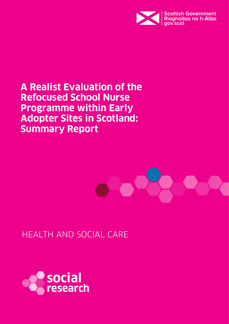

**A Realist Evaluation of the Refocused School Nurse Programme within Early Adopter Sites in Scotland: Summary Report**



HEALTH AND SOCIAL CARE

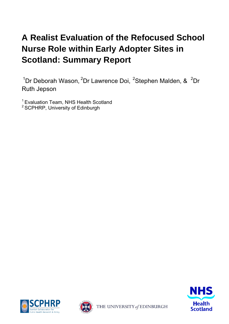# **A Realist Evaluation of the Refocused School Nurse Role within Early Adopter Sites in Scotland: Summary Report**

<sup>1</sup>Dr Deborah Wason, <sup>2</sup>Dr Lawrence Doi, <sup>2</sup>Stephen Malden, & <sup>2</sup>Dr Ruth Jepson

<sup>1</sup> Evaluation Team, NHS Health Scotland <sup>2</sup> SCPHRP, University of Edinburgh







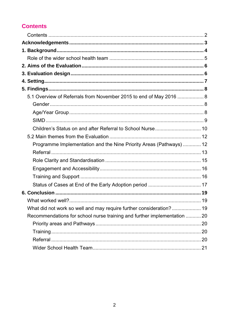## <span id="page-2-0"></span>**Contents**

| 5.1 Overview of Referrals from November 2015 to end of May 2016  8       |  |
|--------------------------------------------------------------------------|--|
|                                                                          |  |
|                                                                          |  |
|                                                                          |  |
|                                                                          |  |
|                                                                          |  |
| Programme Implementation and the Nine Priority Areas (Pathways)  12      |  |
|                                                                          |  |
|                                                                          |  |
|                                                                          |  |
|                                                                          |  |
|                                                                          |  |
|                                                                          |  |
|                                                                          |  |
|                                                                          |  |
| Recommendations for school nurse training and further implementation  20 |  |
|                                                                          |  |
|                                                                          |  |
|                                                                          |  |
|                                                                          |  |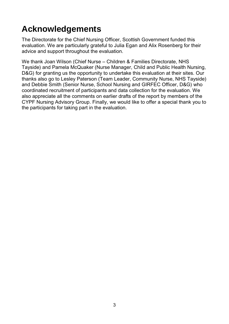# <span id="page-3-0"></span>**Acknowledgements**

The Directorate for the Chief Nursing Officer, Scottish Government funded this evaluation. We are particularly grateful to Julia Egan and Alix Rosenberg for their advice and support throughout the evaluation.

We thank Joan Wilson (Chief Nurse – Children & Families Directorate, NHS Tayside) and Pamela McQuaker (Nurse Manager, Child and Public Health Nursing, D&G) for granting us the opportunity to undertake this evaluation at their sites. Our thanks also go to Lesley Paterson (Team Leader, Community Nurse, NHS Tayside) and Debbie Smith (Senior Nurse, School Nursing and GIRFEC Officer, D&G) who coordinated recruitment of participants and data collection for the evaluation. We also appreciate all the comments on earlier drafts of the report by members of the CYPF Nursing Advisory Group. Finally, we would like to offer a special thank you to the participants for taking part in the evaluation.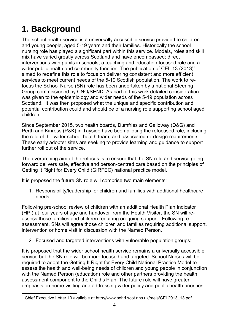# <span id="page-4-0"></span>**1. Background**

The school health service is a universally accessible service provided to children and young people, aged 5-19 years and their families. Historically the school nursing role has played a significant part within this service. Models, roles and skill mix have varied greatly across Scotland and have encompassed; direct interventions with pupils in schools, a teaching and education focused role and a wider public health and community function. The publication of CEL 13 (2013)<sup>1</sup> aimed to redefine this role to focus on delivering consistent and more efficient services to meet current needs of the 5-19 Scottish population. The work to refocus the School Nurse (SN) role has been undertaken by a national Steering Group commissioned by CNO/SEND. As part of this work detailed consideration was given to the epidemiology and wider needs of the 5-19 population across Scotland. It was then proposed what the unique and specific contribution and potential contribution could and should be of a nursing role supporting school aged children

Since September 2015, two health boards, Dumfries and Galloway (D&G) and Perth and Kinross (P&K) in Tayside have been piloting the refocused role, including the role of the wider school health team, and associated re-design requirements. These early adopter sites are seeking to provide learning and guidance to support further roll out of the service.

The overarching aim of the refocus is to ensure that the SN role and service going forward delivers safe, effective and person-centred care based on the principles of Getting It Right for Every Child (GIRFEC) national practice model.

It is proposed the future SN role will comprise two main elements:

1. Responsibility/leadership for children and families with additional healthcare needs:

Following pre-school review of children with an additional Health Plan Indicator (HPI) at four years of age and handover from the Health Visitor, the SN will reassess those families and children requiring on-going support. Following reassessment, SNs will agree those children and families requiring additional support, intervention or home visit in discussion with the Named Person.

2. Focused and targeted interventions with vulnerable population groups:

It is proposed that the wider school health service remains a universally accessible service but the SN role will be more focused and targeted. School Nurses will be required to adopt the Getting It Right for Every Child National Practice Model to assess the health and well-being needs of children and young people in conjunction with the Named Person (education) role and other partners providing the health assessment component to the Child's Plan. The future role will have greater emphasis on home visiting and addressing wider policy and public health priorities,

 1 Chief Executive Letter 13 available at http://www.sehd.scot.nhs.uk/mels/CEL2013\_13.pdf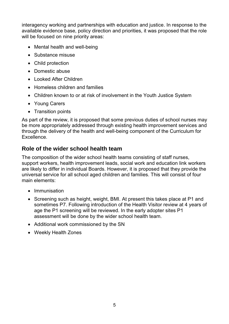interagency working and partnerships with education and justice. In response to the available evidence base, policy direction and priorities, it was proposed that the role will be focused on nine priority areas:

- Mental health and well-being
- Substance misuse
- Child protection
- Domestic abuse
- Looked After Children
- Homeless children and families
- Children known to or at risk of involvement in the Youth Justice System
- Young Carers
- Transition points

As part of the review, it is proposed that some previous duties of school nurses may be more appropriately addressed through existing health improvement services and through the delivery of the health and well-being component of the Curriculum for Excellence.

### <span id="page-5-0"></span>**Role of the wider school health team**

The composition of the wider school health teams consisting of staff nurses, support workers, health improvement leads, social work and education link workers are likely to differ in individual Boards. However, it is proposed that they provide the universal service for all school aged children and families. This will consist of four main elements:

- Immunisation
- Screening such as height, weight, BMI. At present this takes place at P1 and sometimes P7. Following introduction of the Health Visitor review at 4 years of age the P1 screening will be reviewed. In the early adopter sites P1 assessment will be done by the wider school health team.
- Additional work commissioned by the SN
- Weekly Health Zones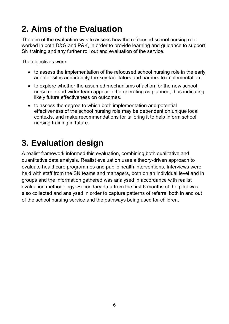# <span id="page-6-0"></span>**2. Aims of the Evaluation**

The aim of the evaluation was to assess how the refocused school nursing role worked in both D&G and P&K, in order to provide learning and guidance to support SN training and any further roll out and evaluation of the service.

The objectives were:

- to assess the implementation of the refocused school nursing role in the early adopter sites and identify the key facilitators and barriers to implementation.
- to explore whether the assumed mechanisms of action for the new school nurse role and wider team appear to be operating as planned, thus indicating likely future effectiveness on outcomes.
- to assess the degree to which both implementation and potential effectiveness of the school nursing role may be dependent on unique local contexts, and make recommendations for tailoring it to help inform school nursing training in future.

## <span id="page-6-1"></span>**3. Evaluation design**

A realist framework informed this evaluation, combining both qualitative and quantitative data analysis. Realist evaluation uses a theory-driven approach to evaluate healthcare programmes and public health interventions. Interviews were held with staff from the SN teams and managers, both on an individual level and in groups and the information gathered was analysed in accordance with realist evaluation methodology. Secondary data from the first 6 months of the pilot was also collected and analysed in order to capture patterns of referral both in and out of the school nursing service and the pathways being used for children.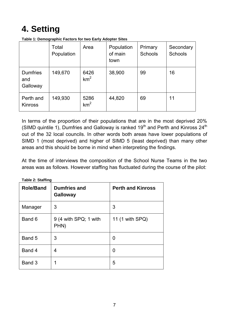# <span id="page-7-0"></span>**4. Setting**

|                                    | Total<br>Population | Area                    | Population<br>of main<br>town | Primary<br><b>Schools</b> | Secondary<br><b>Schools</b> |
|------------------------------------|---------------------|-------------------------|-------------------------------|---------------------------|-----------------------------|
| <b>Dumfries</b><br>and<br>Galloway | 149,670             | 6426<br>km <sup>2</sup> | 38,900                        | 99                        | 16                          |
| Perth and<br><b>Kinross</b>        | 149,930             | 5286<br>km <sup>2</sup> | 44,820                        | 69                        | 11                          |

**Table 1: Demographic Factors for two Early Adopter Sites** 

In terms of the proportion of their populations that are in the most deprived 20% (SIMD quintile 1), Dumfries and Galloway is ranked  $19<sup>th</sup>$  and Perth and Kinross  $24<sup>th</sup>$ out of the 32 local councils. In other words both areas have lower populations of SIMD 1 (most deprived) and higher of SIMD 5 (least deprived) than many other areas and this should be borne in mind when interpreting the findings.

At the time of interviews the composition of the School Nurse Teams in the two areas was as follows. However staffing has fluctuated during the course of the pilot:

| <b>Role/Band</b> | <b>Dumfries and</b><br><b>Galloway</b>   | <b>Perth and Kinross</b> |
|------------------|------------------------------------------|--------------------------|
| Manager          | 3                                        | 3                        |
| Band 6           | $9(4 \text{ with } SPQ$ ; 1 with<br>PHN) | 11 (1 with SPQ)          |
| Band 5           | 3                                        | 0                        |
| Band 4           | 4                                        | 0                        |
| Band 3           | 1                                        | 5                        |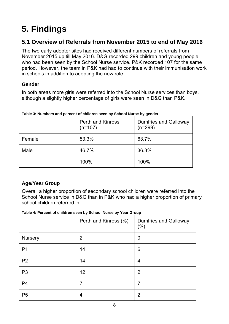# <span id="page-8-0"></span>**5. Findings**

## <span id="page-8-1"></span>**5.1 Overview of Referrals from November 2015 to end of May 2016**

The two early adopter sites had received different numbers of referrals from November 2015 up till May 2016. D&G recorded 299 children and young people who had been seen by the School Nurse service. P&K recorded 107 for the same period. However, the team in P&K had had to continue with their immunisation work in schools in addition to adopting the new role.

### <span id="page-8-2"></span>**Gender**

In both areas more girls were referred into the School Nurse services than boys, although a slightly higher percentage of girls were seen in D&G than P&K.

|        | <b>Perth and Kinross</b><br>$(n=107)$ | <b>Dumfries and Galloway</b><br>$(n=299)$ |
|--------|---------------------------------------|-------------------------------------------|
| Female | 53.3%                                 | 63.7%                                     |
| Male   | 46.7%                                 | 36.3%                                     |
|        | 100%                                  | 100%                                      |

#### **Table 3: Numbers and percent of children seen by School Nurse by gender**

### <span id="page-8-3"></span>**Age/Year Group**

Overall a higher proportion of secondary school children were referred into the School Nurse service in D&G than in P&K who had a higher proportion of primary school children referred in.

#### **Table 4: Percent of children seen by School Nurse by Year Group**

| . <b>.</b>     |                       |                                         |  |  |
|----------------|-----------------------|-----------------------------------------|--|--|
|                | Perth and Kinross (%) | <b>Dumfries and Galloway</b><br>$(\% )$ |  |  |
| <b>Nursery</b> | $\overline{2}$        | $\boldsymbol{0}$                        |  |  |
| P <sub>1</sub> | 14                    | $6\phantom{1}6$                         |  |  |
| P <sub>2</sub> | 14                    | $\overline{4}$                          |  |  |
| P <sub>3</sub> | 12                    | $\overline{2}$                          |  |  |
| P <sub>4</sub> | 7                     | $\overline{7}$                          |  |  |
| P <sub>5</sub> | 4                     | $\overline{2}$                          |  |  |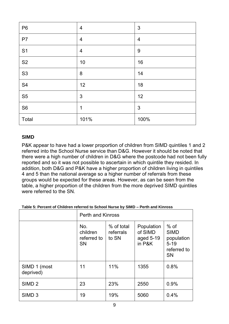| P <sub>6</sub> | $\overline{4}$ | $\mathfrak{S}$ |
|----------------|----------------|----------------|
| P7             | $\overline{4}$ | $\overline{4}$ |
| S <sub>1</sub> | $\overline{4}$ | $9\,$          |
| S <sub>2</sub> | 10             | 16             |
| S <sub>3</sub> | $\bf 8$        | 14             |
| S <sub>4</sub> | 12             | 18             |
| S <sub>5</sub> | $\mathfrak{S}$ | 12             |
| S <sub>6</sub> | 1              | $\mathfrak{S}$ |
| Total          | 101%           | 100%           |

#### <span id="page-9-0"></span>**SIMD**

P&K appear to have had a lower proportion of children from SIMD quintiles 1 and 2 referred into the School Nurse service than D&G. However it should be noted that there were a high number of children in D&G where the postcode had not been fully reported and so it was not possible to ascertain in which quintile they resided. In addition, both D&G and P&K have a higher proportion of children living in quintiles 4 and 5 than the national average so a higher number of referrals from these groups would be expected for these areas. However, as can be seen from the table, a higher proportion of the children from the more deprived SIMD quintiles were referred to the SN.

|                           | <b>Perth and Kinross</b>                    |                                  |                                              |                                                                             |
|---------------------------|---------------------------------------------|----------------------------------|----------------------------------------------|-----------------------------------------------------------------------------|
|                           | No.<br>children<br>referred to<br><b>SN</b> | % of total<br>referrals<br>to SN | Population<br>of SIMD<br>aged 5-19<br>in P&K | $%$ of<br><b>SIMD</b><br>population<br>$5 - 19$<br>referred to<br><b>SN</b> |
| SIMD 1 (most<br>deprived) | 11                                          | 11%                              | 1355                                         | 0.8%                                                                        |
| SIMD <sub>2</sub>         | 23                                          | 23%                              | 2550                                         | 0.9%                                                                        |
| SIMD <sub>3</sub>         | 19                                          | 19%                              | 5060                                         | 0.4%                                                                        |

#### **Table 5: Percent of Children referred to School Nurse by SIMD – Perth and Kinross**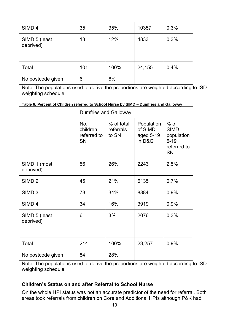| SIMD <sub>4</sub>          | 35  | 35%  | 10357  | 0.3% |
|----------------------------|-----|------|--------|------|
| SIMD 5 (least<br>deprived) | 13  | 12%  | 4833   | 0.3% |
|                            |     |      |        |      |
| Total                      | 101 | 100% | 24,155 | 0.4% |
| No postcode given          | 6   | 6%   |        |      |

Note: The populations used to derive the proportions are weighted according to ISD weighting schedule.

**Table 6: Percent of Children referred to School Nurse by SIMD – Dumfries and Galloway** 

|                            | <b>Dumfries and Galloway</b>                |                                  |                                              |                                                                             |
|----------------------------|---------------------------------------------|----------------------------------|----------------------------------------------|-----------------------------------------------------------------------------|
|                            | No.<br>children<br>referred to<br><b>SN</b> | % of total<br>referrals<br>to SN | Population<br>of SIMD<br>aged 5-19<br>in D&G | $%$ of<br><b>SIMD</b><br>population<br>$5 - 19$<br>referred to<br><b>SN</b> |
| SIMD 1 (most<br>deprived)  | 56                                          | 26%                              | 2243                                         | 2.5%                                                                        |
| SIMD <sub>2</sub>          | 45                                          | 21%                              | 6135                                         | 0.7%                                                                        |
| SIMD <sub>3</sub>          | 73                                          | 34%                              | 8884                                         | 0.9%                                                                        |
| SIMD <sub>4</sub>          | 34                                          | 16%                              | 3919                                         | 0.9%                                                                        |
| SIMD 5 (least<br>deprived) | 6                                           | 3%                               | 2076                                         | 0.3%                                                                        |
|                            |                                             |                                  |                                              |                                                                             |
| Total                      | 214                                         | 100%                             | 23,257                                       | 0.9%                                                                        |
| No postcode given          | 84                                          | 28%                              |                                              |                                                                             |

Note: The populations used to derive the proportions are weighted according to ISD weighting schedule.

#### <span id="page-10-0"></span>**Children's Status on and after Referral to School Nurse**

On the whole HPI status was not an accurate predictor of the need for referral. Both areas took referrals from children on Core and Additional HPIs although P&K had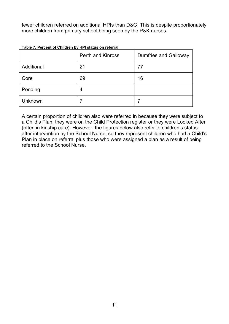fewer children referred on additional HPIs than D&G. This is despite proportionately more children from primary school being seen by the P&K nurses.

|            | <b>Perth and Kinross</b> | <b>Dumfries and Galloway</b> |  |
|------------|--------------------------|------------------------------|--|
| Additional | 21                       | 77                           |  |
| Core       | 69                       | 16                           |  |
| Pending    | 4                        |                              |  |
| Unknown    |                          |                              |  |

**Table 7: Percent of Children by HPI status on referral** 

A certain proportion of children also were referred in because they were subject to a Child's Plan, they were on the Child Protection register or they were Looked After (often in kinship care). However, the figures below also refer to children's status after intervention by the School Nurse, so they represent children who had a Child's Plan in place on referral plus those who were assigned a plan as a result of being referred to the School Nurse.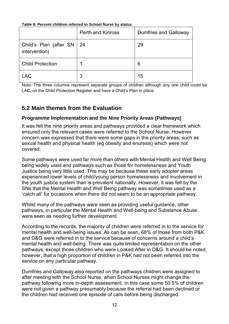**Table 8: Percent children referred to School Nurse by status**

|                                              | <b>Perth and Kinross</b> | <b>Dumfries and Galloway</b> |
|----------------------------------------------|--------------------------|------------------------------|
| Child's Plan (after SN   24<br>intervention) |                          | 29                           |
| <b>Child Protection</b>                      |                          | 6                            |
| <b>LAC</b>                                   | 3                        | 15                           |

Note: The three columns represent separate groups of children although any one child could be LAC, on the Child Protection Register and have a Child's Plan in place.

## <span id="page-12-0"></span>**5.2 Main themes from the Evaluation**

### <span id="page-12-1"></span>**Programme Implementation and the Nine Priority Areas (Pathways)**

It was felt the nine priority areas and pathways provided a clear framework which ensured only the relevant cases were referred to the School Nurse. However concern was expressed that there were some gaps in the priority areas, such as sexual health and physical health (eg obesity and enuresis) which were not covered.

Some pathways were used far more than others with Mental Health and Well Being being widely used and pathways such as those for homelessness and Youth Justice being very little used. This may be because these early adopter areas experienced lower levels of child/young person homelessness and involvement in the youth justice system than is prevalent nationally. However, it was felt by the SNs that the Mental Health and Well Being pathway was sometimes used as a 'catch all' for occasions when there did not seem to be an appropriate pathway.

Whilst many of the pathways were seen as providing useful guidance, other pathways, in particular the Mental Health and Well-being and Substance Abuse were seen as needing further development.

According to the records, the majority of children were referred in to the service for mental health and well-being issues. As can be seen, 68% of those from both P&K and D&G were referred in to the service because of concerns around a child's mental health and well-being. There was quite limited representation on the other pathways, except those children who were Looked After in D&G. It should be noted, however, that a high proportion of children in P&K had not been referred into the service on any particular pathway.

Dumfries and Galloway also reported on the pathways children were assigned to after meeting with the School Nurse, when School Nurses might change the pathway following more in-depth assessment. In this case some 50.5% of children were not given a pathway presumably because the referral had been declined or the children had received one episode of care before being discharged.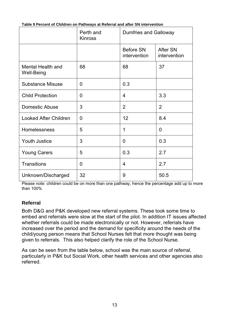|                                        | Perth and<br><b>Kinross</b> | <b>Dumfries and Galloway</b>     |                                 |
|----------------------------------------|-----------------------------|----------------------------------|---------------------------------|
|                                        |                             | <b>Before SN</b><br>intervention | <b>After SN</b><br>intervention |
| Mental Health and<br><b>Well-Being</b> | 68                          | 68                               | 37                              |
| <b>Substance Misuse</b>                | $\overline{0}$              | 0.3                              |                                 |
| <b>Child Protection</b>                | $\overline{0}$              | $\overline{4}$                   | 3.3                             |
| <b>Domestic Abuse</b>                  | 3                           | 2                                | $\overline{2}$                  |
| <b>Looked After Children</b>           | $\overline{0}$              | 12                               | 8.4                             |
| <b>Homelessness</b>                    | 5                           | 1                                | $\overline{0}$                  |
| <b>Youth Justice</b>                   | 3                           | $\overline{0}$                   | 0.3                             |
| <b>Young Carers</b>                    | 5                           | 0.3                              | 2.7                             |
| <b>Transitions</b>                     | $\overline{0}$              | $\overline{4}$                   | 2.7                             |
| Unknown/Discharged                     | 32                          | 9                                | 50.5                            |

**Table 9 Percent of Children on Pathways at Referral and after SN intervention** 

Please note: children could be on more than one pathway, hence the percentage add up to more than 100%

#### <span id="page-13-0"></span>**Referral**

Both D&G and P&K developed new referral systems. These took some time to embed and referrals were slow at the start of the pilot. In addition IT issues affected whether referrals could be made electronically or not. However, referrals have increased over the period and the demand for specificity around the needs of the child/young person means that School Nurses felt that more thought was being given to referrals. This also helped clarify the role of the School Nurse.

As can be seen from the table below, school was the main source of referral, particularly in P&K but Social Work, other health services and other agencies also referred.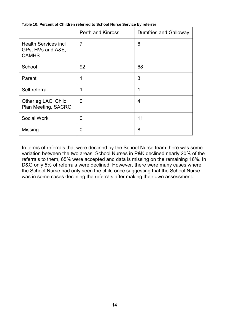|                                                                  | <b>Perth and Kinross</b> | <b>Dumfries and Galloway</b> |
|------------------------------------------------------------------|--------------------------|------------------------------|
| <b>Health Services incl</b><br>GPs, HVs and A&E,<br><b>CAMHS</b> | $\overline{7}$           | 6                            |
| School                                                           | 92                       | 68                           |
| Parent                                                           | 1                        | 3                            |
| Self referral                                                    | 1                        | 1                            |
| Other eg LAC, Child<br>Plan Meeting, SACRO                       | $\overline{0}$           | 4                            |
| <b>Social Work</b>                                               | $\overline{0}$           | 11                           |
| Missing                                                          | 0                        | 8                            |

#### **Table 10: Percent of Children referred to School Nurse Service by referrer**

In terms of referrals that were declined by the School Nurse team there was some variation between the two areas. School Nurses in P&K declined nearly 20% of the referrals to them, 65% were accepted and data is missing on the remaining 16%. In D&G only 5% of referrals were declined. However, there were many cases where the School Nurse had only seen the child once suggesting that the School Nurse was in some cases declining the referrals after making their own assessment.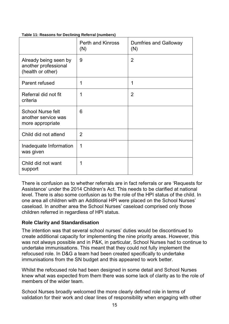|                                                                     | <b>Perth and Kinross</b><br>(N) | <b>Dumfries and Galloway</b><br>(N) |
|---------------------------------------------------------------------|---------------------------------|-------------------------------------|
| Already being seen by<br>another professional<br>(health or other)  | 9                               | $\overline{2}$                      |
| Parent refused                                                      | 1                               | 1                                   |
| Referral did not fit<br>criteria                                    | 1                               | $\overline{2}$                      |
| <b>School Nurse felt</b><br>another service was<br>more appropriate | 6                               |                                     |
| Child did not attend                                                | $\overline{2}$                  |                                     |
| Inadequate Information<br>was given                                 | 1                               |                                     |
| Child did not want<br>support                                       | 1                               |                                     |

**Table 11: Reasons for Declining Referral (numbers)** 

There is confusion as to whether referrals are in fact referrals or are 'Requests for Assistance' under the 2014 Children's Act. This needs to be clarified at national level. There is also some confusion as to the role of the HPI status of the child. In one area all children with an Additional HPI were placed on the School Nurses' caseload. In another area the School Nurses' caseload comprised only those children referred in regardless of HPI status.

### <span id="page-15-0"></span>**Role Clarity and Standardisation**

The intention was that several school nurses' duties would be discontinued to create additional capacity for implementing the nine priority areas. However, this was not always possible and in P&K, in particular, School Nurses had to continue to undertake immunisations. This meant that they could not fully implement the refocused role. In D&G a team had been created specifically to undertake immunisations from the SN budget and this appeared to work better.

Whilst the refocused role had been designed in some detail and School Nurses knew what was expected from them there was some lack of clarity as to the role of members of the wider team.

School Nurses broadly welcomed the more clearly defined role in terms of validation for their work and clear lines of responsibility when engaging with other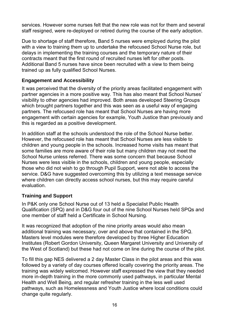services. However some nurses felt that the new role was not for them and several staff resigned, were re-deployed or retired during the course of the early adoption.

Due to shortage of staff therefore, Band 5 nurses were employed during the pilot with a view to training them up to undertake the refocused School Nurse role, but delays in implementing the training courses and the temporary nature of their contracts meant that the first round of recruited nurses left for other posts. Additional Band 5 nurses have since been recruited with a view to them being trained up as fully qualified School Nurses.

### <span id="page-16-0"></span>**Engagement and Accessibility**

It was perceived that the diversity of the priority areas facilitated engagement with partner agencies in a more positive way. This has also meant that School Nurses' visibility to other agencies had improved. Both areas developed Steering Groups which brought partners together and this was seen as a useful way of engaging partners. The refocused role has meant that School Nurses are having more engagement with certain agencies for example, Youth Justice than previously and this is regarded as a positive development.

In addition staff at the schools understood the role of the School Nurse better. However, the refocused role has meant that School Nurses are less visible to children and young people in the schools. Increased home visits has meant that some families are more aware of their role but many children may not meet the School Nurse unless referred. There was some concern that because School Nurses were less visible in the schools, children and young people, especially those who did not wish to go through Pupil Support, were not able to access the service. D&G have suggested overcoming this by utilizing a text message service where children can directly access school nurses, but this may require careful evaluation.

### <span id="page-16-1"></span>**Training and Support**

In P&K only one School Nurse out of 13 held a Specialist Public Health Qualification (SPQ) and in D&G four out of the nine School Nurses held SPQs and one member of staff held a Certificate in School Nursing.

It was recognized that adoption of the nine priority areas would also mean additional training was necessary, over and above that contained in the SPQ. Masters level modules were therefore developed by three Higher Education Institutes (Robert Gordon University, Queen Margaret University and University of the West of Scotland) but these had not come on line during the course of the pilot.

To fill this gap NES delivered a 2 day Master Class in the pilot areas and this was followed by a variety of day courses offered locally covering the priority areas. The training was widely welcomed. However staff expressed the view that they needed more in-depth training in the more commonly used pathways, in particular Mental Health and Well Being, and regular refresher training in the less well used pathways, such as Homelessness and Youth Justice where local conditions could change quite regularly.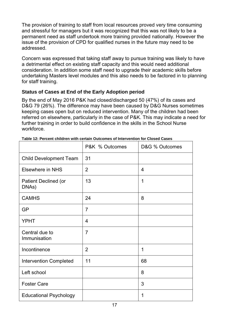The provision of training to staff from local resources proved very time consuming and stressful for managers but it was recognized that this was not likely to be a permanent need as staff undertook more training provided nationally. However the issue of the provision of CPD for qualified nurses in the future may need to be addressed.

Concern was expressed that taking staff away to pursue training was likely to have a detrimental effect on existing staff capacity and this would need additional consideration. In addition some staff need to upgrade their academic skills before undertaking Masters level modules and this also needs to be factored in to planning for staff training.

### <span id="page-17-0"></span>**Status of Cases at End of the Early Adoption period**

By the end of May 2016 P&K had closed/discharged 50 (47%) of its cases and D&G 79 (26%). The difference may have been caused by D&G Nurses sometimes keeping cases open but on reduced intervention. Many of the children had been referred on elsewhere, particularly in the case of P&K. This may indicate a need for further training in order to build confidence in the skills in the School Nurse workforce.

|                                      | P&K % Outcomes | D&G % Outcomes |
|--------------------------------------|----------------|----------------|
| <b>Child Development Team</b>        | 31             |                |
| <b>Elsewhere in NHS</b>              | $\overline{2}$ | 4              |
| <b>Patient Declined (or</b><br>DNAs) | 13             | 1              |
| <b>CAMHS</b>                         | 24             | 8              |
| <b>GP</b>                            | $\overline{7}$ |                |
| <b>YPHT</b>                          | 4              |                |
| Central due to<br>Immunisation       | 7              |                |
| Incontinence                         | $\overline{2}$ | 1              |
| <b>Intervention Completed</b>        | 11             | 68             |
| Left school                          |                | 8              |
| <b>Foster Care</b>                   |                | 3              |
| <b>Educational Psychology</b>        |                | 1              |

**Table 12: Percent children with certain Outcomes of Intervention for Closed Cases**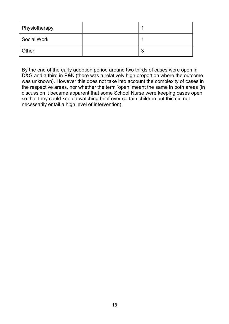| Physiotherapy      |        |
|--------------------|--------|
| <b>Social Work</b> |        |
| Other              | ≏<br>J |

By the end of the early adoption period around two thirds of cases were open in D&G and a third in P&K (there was a relatively high proportion where the outcome was unknown). However this does not take into account the complexity of cases in the respective areas, nor whether the term 'open' meant the same in both areas (in discussion it became apparent that some School Nurse were keeping cases open so that they could keep a watching brief over certain children but this did not necessarily entail a high level of intervention).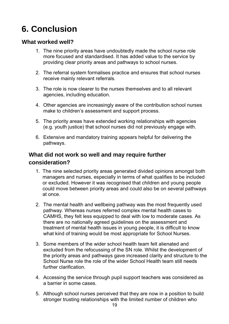## <span id="page-19-0"></span>**6. Conclusion**

### <span id="page-19-1"></span>**What worked well?**

- 1. The nine priority areas have undoubtedly made the school nurse role more focused and standardised. It has added value to the service by providing clear priority areas and pathways to school nurses.
- 2. The referral system formalises practice and ensures that school nurses receive mainly relevant referrals.
- 3. The role is now clearer to the nurses themselves and to all relevant agencies, including education.
- 4. Other agencies are increasingly aware of the contribution school nurses make to children's assessment and support process.
- 5. The priority areas have extended working relationships with agencies (e.g. youth justice) that school nurses did not previously engage with.
- 6. Extensive and mandatory training appears helpful for delivering the pathways.

## <span id="page-19-2"></span>**What did not work so well and may require further consideration?**

- 1. The nine selected priority areas generated divided opinions amongst both managers and nurses, especially in terms of what qualifies to be included or excluded. However it was recognised that children and young people could move between priority areas and could also be on several pathways at once.
- 2. The mental health and wellbeing pathway was the most frequently used pathway. Whereas nurses referred complex mental health cases to CAMHS, they felt less equipped to deal with low to moderate cases. As there are no nationally agreed guidelines on the assessment and treatment of mental health issues in young people, it is difficult to know what kind of training would be most appropriate for School Nurses.
- 3. Some members of the wider school health team felt alienated and excluded from the refocussing of the SN role. Whilst the development of the priority areas and pathways gave increased clarity and structure to the School Nurse role the role of the wider School Health team still needs further clarification.
- 4. Accessing the service through pupil support teachers was considered as a barrier in some cases.
- 5. Although school nurses perceived that they are now in a position to build stronger trusting relationships with the limited number of children who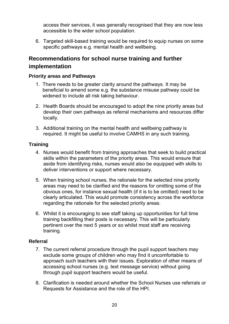access their services, it was generally recognised that they are now less accessible to the wider school population.

6. Targeted skill-based training would be required to equip nurses on some specific pathways e.g. mental health and wellbeing.

## <span id="page-20-0"></span>**Recommendations for school nurse training and further implementation**

#### <span id="page-20-1"></span>**Priority areas and Pathways**

- 1. There needs to be greater clarity around the pathways. It may be beneficial to amend some e.g. the substance misuse pathway could be widened to include all risk taking behaviour.
- 2. Health Boards should be encouraged to adopt the nine priority areas but develop their own pathways as referral mechanisms and resources differ locally.
- 3. Additional training on the mental health and wellbeing pathway is required. It might be useful to involve CAMHS in any such training.

### <span id="page-20-2"></span>**Training**

- 4. Nurses would benefit from training approaches that seek to build practical skills within the parameters of the priority areas. This would ensure that aside from identifying risks, nurses would also be equipped with skills to deliver interventions or support where necessary.
- 5. When training school nurses, the rationale for the selected nine priority areas may need to be clarified and the reasons for omitting some of the obvious ones, for instance sexual health (if it is to be omitted) need to be clearly articulated. This would promote consistency across the workforce regarding the rationale for the selected priority areas.
- 6. Whilst it is encouraging to see staff taking up opportunities for full time training backfilling their posts is necessary. This will be particularly pertinent over the next 5 years or so whilst most staff are receiving training.

### <span id="page-20-3"></span>**Referral**

- 7. The current referral procedure through the pupil support teachers may exclude some groups of children who may find it uncomfortable to approach such teachers with their issues. Exploration of other means of accessing school nurses (e.g. text message service) without going through pupil support teachers would be useful.
- 8. Clarification is needed around whether the School Nurses use referrals or Requests for Assistance and the role of the HPI.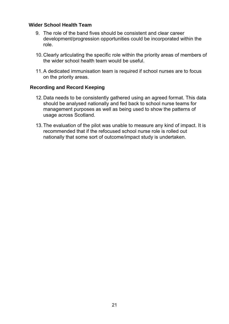#### <span id="page-21-0"></span>**Wider School Health Team**

- 9. The role of the band fives should be consistent and clear career development/progression opportunities could be incorporated within the role.
- 10. Clearly articulating the specific role within the priority areas of members of the wider school health team would be useful.
- 11.A dedicated immunisation team is required if school nurses are to focus on the priority areas.

#### **Recording and Record Keeping**

- 12. Data needs to be consistently gathered using an agreed format. This data should be analysed nationally and fed back to school nurse teams for management purposes as well as being used to show the patterns of usage across Scotland.
- 13. The evaluation of the pilot was unable to measure any kind of impact. It is recommended that if the refocused school nurse role is rolled out nationally that some sort of outcome/impact study is undertaken.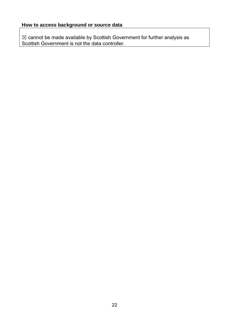$\boxtimes$  cannot be made available by Scottish Government for further analysis as Scottish Government is not the data controller.